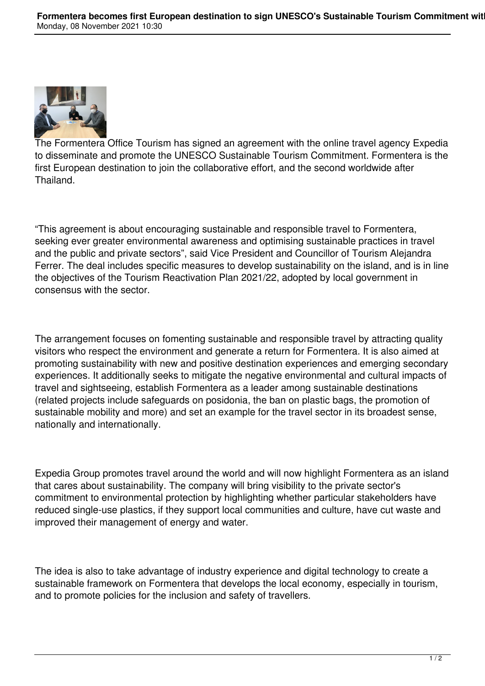

The Formentera Office Tourism has signed an agreement with the online travel agency Expedia to disseminate and promote the UNESCO Sustainable Tourism Commitment. Formentera is the first European destination to join the collaborative effort, and the second worldwide after Thailand.

"This agreement is about encouraging sustainable and responsible travel to Formentera, seeking ever greater environmental awareness and optimising sustainable practices in travel and the public and private sectors", said Vice President and Councillor of Tourism Alejandra Ferrer. The deal includes specific measures to develop sustainability on the island, and is in line the objectives of the Tourism Reactivation Plan 2021/22, adopted by local government in consensus with the sector.

The arrangement focuses on fomenting sustainable and responsible travel by attracting quality visitors who respect the environment and generate a return for Formentera. It is also aimed at promoting sustainability with new and positive destination experiences and emerging secondary experiences. It additionally seeks to mitigate the negative environmental and cultural impacts of travel and sightseeing, establish Formentera as a leader among sustainable destinations (related projects include safeguards on posidonia, the ban on plastic bags, the promotion of sustainable mobility and more) and set an example for the travel sector in its broadest sense, nationally and internationally.

Expedia Group promotes travel around the world and will now highlight Formentera as an island that cares about sustainability. The company will bring visibility to the private sector's commitment to environmental protection by highlighting whether particular stakeholders have reduced single-use plastics, if they support local communities and culture, have cut waste and improved their management of energy and water.

The idea is also to take advantage of industry experience and digital technology to create a sustainable framework on Formentera that develops the local economy, especially in tourism, and to promote policies for the inclusion and safety of travellers.